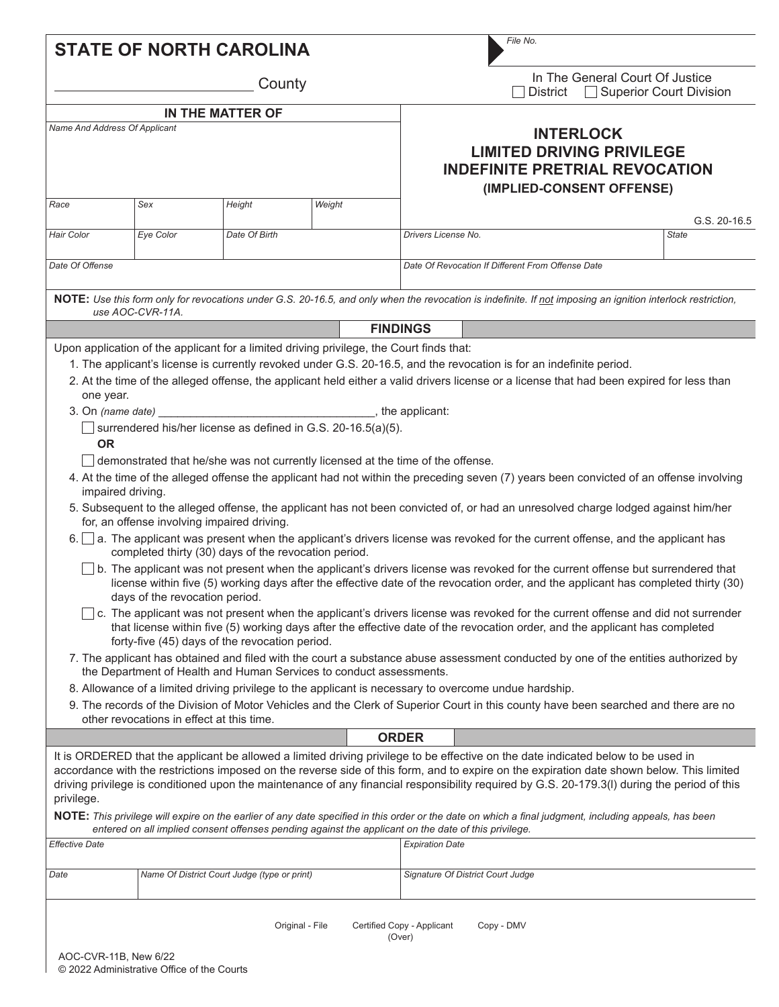|                                             |                                                                               | <b>STATE OF NORTH CAROLINA</b>                                                                                                                                                                                                                             |        |                                                   | File No.                                                                                                                                                                                                                                                                                                                                                                                                                                                                                                                                                                                                                                                                                                                                                                                                                                                                                                                                                                                                                                                                                                                                                                                                                                            |              |
|---------------------------------------------|-------------------------------------------------------------------------------|------------------------------------------------------------------------------------------------------------------------------------------------------------------------------------------------------------------------------------------------------------|--------|---------------------------------------------------|-----------------------------------------------------------------------------------------------------------------------------------------------------------------------------------------------------------------------------------------------------------------------------------------------------------------------------------------------------------------------------------------------------------------------------------------------------------------------------------------------------------------------------------------------------------------------------------------------------------------------------------------------------------------------------------------------------------------------------------------------------------------------------------------------------------------------------------------------------------------------------------------------------------------------------------------------------------------------------------------------------------------------------------------------------------------------------------------------------------------------------------------------------------------------------------------------------------------------------------------------------|--------------|
| County                                      |                                                                               |                                                                                                                                                                                                                                                            |        |                                                   | In The General Court Of Justice<br><b>Superior Court Division</b><br><b>District</b>                                                                                                                                                                                                                                                                                                                                                                                                                                                                                                                                                                                                                                                                                                                                                                                                                                                                                                                                                                                                                                                                                                                                                                |              |
| IN THE MATTER OF                            |                                                                               |                                                                                                                                                                                                                                                            |        |                                                   |                                                                                                                                                                                                                                                                                                                                                                                                                                                                                                                                                                                                                                                                                                                                                                                                                                                                                                                                                                                                                                                                                                                                                                                                                                                     |              |
| Name And Address Of Applicant               |                                                                               |                                                                                                                                                                                                                                                            |        |                                                   | <b>INTERLOCK</b><br><b>LIMITED DRIVING PRIVILEGE</b><br><b>INDEFINITE PRETRIAL REVOCATION</b><br>(IMPLIED-CONSENT OFFENSE)                                                                                                                                                                                                                                                                                                                                                                                                                                                                                                                                                                                                                                                                                                                                                                                                                                                                                                                                                                                                                                                                                                                          |              |
| Race                                        | Sex                                                                           | Height                                                                                                                                                                                                                                                     | Weight |                                                   |                                                                                                                                                                                                                                                                                                                                                                                                                                                                                                                                                                                                                                                                                                                                                                                                                                                                                                                                                                                                                                                                                                                                                                                                                                                     | G.S. 20-16.5 |
| Hair Color                                  | Eye Color                                                                     | Date Of Birth                                                                                                                                                                                                                                              |        |                                                   | Drivers License No.                                                                                                                                                                                                                                                                                                                                                                                                                                                                                                                                                                                                                                                                                                                                                                                                                                                                                                                                                                                                                                                                                                                                                                                                                                 | <b>State</b> |
| Date Of Offense                             |                                                                               |                                                                                                                                                                                                                                                            |        | Date Of Revocation If Different From Offense Date |                                                                                                                                                                                                                                                                                                                                                                                                                                                                                                                                                                                                                                                                                                                                                                                                                                                                                                                                                                                                                                                                                                                                                                                                                                                     |              |
|                                             | use AOC-CVR-11A.                                                              |                                                                                                                                                                                                                                                            |        |                                                   | NOTE: Use this form only for revocations under G.S. 20-16.5, and only when the revocation is indefinite. If not imposing an ignition interlock restriction,                                                                                                                                                                                                                                                                                                                                                                                                                                                                                                                                                                                                                                                                                                                                                                                                                                                                                                                                                                                                                                                                                         |              |
|                                             |                                                                               |                                                                                                                                                                                                                                                            |        | <b>FINDINGS</b>                                   |                                                                                                                                                                                                                                                                                                                                                                                                                                                                                                                                                                                                                                                                                                                                                                                                                                                                                                                                                                                                                                                                                                                                                                                                                                                     |              |
|                                             |                                                                               | Upon application of the applicant for a limited driving privilege, the Court finds that:                                                                                                                                                                   |        |                                                   |                                                                                                                                                                                                                                                                                                                                                                                                                                                                                                                                                                                                                                                                                                                                                                                                                                                                                                                                                                                                                                                                                                                                                                                                                                                     |              |
| one year.<br><b>OR</b><br>impaired driving. | for, an offense involving impaired driving.<br>days of the revocation period. | surrendered his/her license as defined in G.S. 20-16.5(a)(5).<br>demonstrated that he/she was not currently licensed at the time of the offense.<br>completed thirty (30) days of the revocation period.<br>forty-five (45) days of the revocation period. |        |                                                   | 2. At the time of the alleged offense, the applicant held either a valid drivers license or a license that had been expired for less than<br>4. At the time of the alleged offense the applicant had not within the preceding seven (7) years been convicted of an offense involving<br>5. Subsequent to the alleged offense, the applicant has not been convicted of, or had an unresolved charge lodged against him/her<br>6. a. The applicant was present when the applicant's drivers license was revoked for the current offense, and the applicant has<br>b. The applicant was not present when the applicant's drivers license was revoked for the current offense but surrendered that<br>license within five (5) working days after the effective date of the revocation order, and the applicant has completed thirty (30)<br>$\mid$ c. The applicant was not present when the applicant's drivers license was revoked for the current offense and did not surrender<br>that license within five (5) working days after the effective date of the revocation order, and the applicant has completed<br>7. The applicant has obtained and filed with the court a substance abuse assessment conducted by one of the entities authorized by |              |
|                                             |                                                                               | the Department of Health and Human Services to conduct assessments.                                                                                                                                                                                        |        |                                                   |                                                                                                                                                                                                                                                                                                                                                                                                                                                                                                                                                                                                                                                                                                                                                                                                                                                                                                                                                                                                                                                                                                                                                                                                                                                     |              |
|                                             |                                                                               |                                                                                                                                                                                                                                                            |        |                                                   | 8. Allowance of a limited driving privilege to the applicant is necessary to overcome undue hardship.                                                                                                                                                                                                                                                                                                                                                                                                                                                                                                                                                                                                                                                                                                                                                                                                                                                                                                                                                                                                                                                                                                                                               |              |
|                                             | other revocations in effect at this time.                                     |                                                                                                                                                                                                                                                            |        |                                                   | 9. The records of the Division of Motor Vehicles and the Clerk of Superior Court in this county have been searched and there are no                                                                                                                                                                                                                                                                                                                                                                                                                                                                                                                                                                                                                                                                                                                                                                                                                                                                                                                                                                                                                                                                                                                 |              |
|                                             |                                                                               |                                                                                                                                                                                                                                                            |        | <b>ORDER</b>                                      |                                                                                                                                                                                                                                                                                                                                                                                                                                                                                                                                                                                                                                                                                                                                                                                                                                                                                                                                                                                                                                                                                                                                                                                                                                                     |              |
| privilege.                                  |                                                                               | entered on all implied consent offenses pending against the applicant on the date of this privilege.                                                                                                                                                       |        |                                                   | It is ORDERED that the applicant be allowed a limited driving privilege to be effective on the date indicated below to be used in<br>accordance with the restrictions imposed on the reverse side of this form, and to expire on the expiration date shown below. This limited<br>driving privilege is conditioned upon the maintenance of any financial responsibility required by G.S. 20-179.3(I) during the period of this<br>NOTE: This privilege will expire on the earlier of any date specified in this order or the date on which a final judgment, including appeals, has been                                                                                                                                                                                                                                                                                                                                                                                                                                                                                                                                                                                                                                                            |              |
| <b>Effective Date</b>                       |                                                                               |                                                                                                                                                                                                                                                            |        |                                                   | <b>Expiration Date</b>                                                                                                                                                                                                                                                                                                                                                                                                                                                                                                                                                                                                                                                                                                                                                                                                                                                                                                                                                                                                                                                                                                                                                                                                                              |              |
| Date                                        |                                                                               | Name Of District Court Judge (type or print)                                                                                                                                                                                                               |        |                                                   | Signature Of District Court Judge                                                                                                                                                                                                                                                                                                                                                                                                                                                                                                                                                                                                                                                                                                                                                                                                                                                                                                                                                                                                                                                                                                                                                                                                                   |              |
| AOC-CVR-11B, New 6/22                       |                                                                               | Original - File                                                                                                                                                                                                                                            |        | Certified Copy - Applicant<br>(Over)              | Copy - DMV                                                                                                                                                                                                                                                                                                                                                                                                                                                                                                                                                                                                                                                                                                                                                                                                                                                                                                                                                                                                                                                                                                                                                                                                                                          |              |